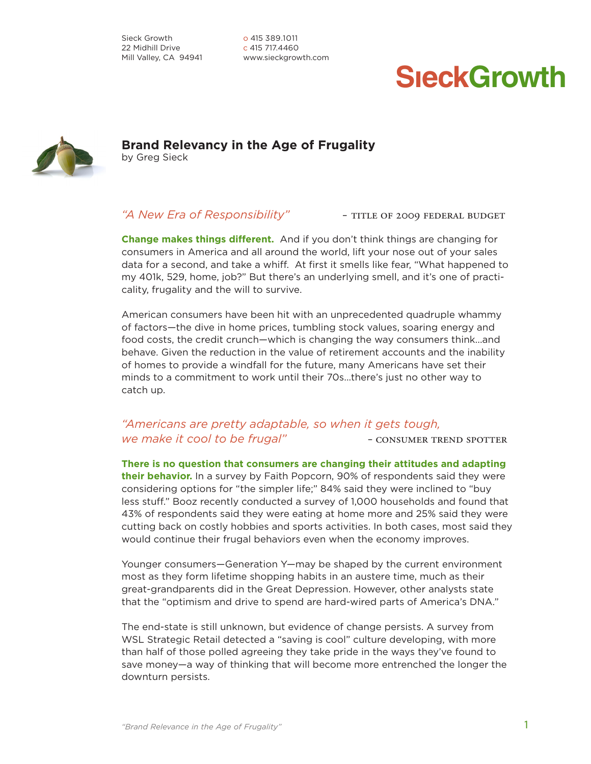Sieck Growth 22 Midhill Drive Mill Valley, CA 94941 o 415 389.1011 c 415 717.4460 www.sieckgrowth.com

# **SieckGrowth**



**Brand Relevancy in the Age of Frugality** by Greg Sieck

## "A New Era of Responsibility" – TITLE OF 2009 FEDERAL BUDGET

**Change makes things different.** And if you don't think things are changing for consumers in America and all around the world, lift your nose out of your sales data for a second, and take a whiff. At first it smells like fear, "What happened to my 401k, 529, home, job?" But there's an underlying smell, and it's one of practicality, frugality and the will to survive.

American consumers have been hit with an unprecedented quadruple whammy of factors—the dive in home prices, tumbling stock values, soaring energy and food costs, the credit crunch—which is changing the way consumers think...and behave. Given the reduction in the value of retirement accounts and the inability of homes to provide a windfall for the future, many Americans have set their minds to a commitment to work until their 70s...there's just no other way to catch up.

# *"Americans are pretty adaptable, so when it gets tough, we make it cool to be frugal"* - consumer TREND SPOTTER

**There is no question that consumers are changing their attitudes and adapting their behavior.** In a survey by Faith Popcorn, 90% of respondents said they were considering options for "the simpler life;" 84% said they were inclined to "buy less stuff." Booz recently conducted a survey of 1,000 households and found that 43% of respondents said they were eating at home more and 25% said they were cutting back on costly hobbies and sports activities. In both cases, most said they would continue their frugal behaviors even when the economy improves.

Younger consumers—Generation Y—may be shaped by the current environment most as they form lifetime shopping habits in an austere time, much as their great-grandparents did in the Great Depression. However, other analysts state that the "optimism and drive to spend are hard-wired parts of America's DNA."

The end-state is still unknown, but evidence of change persists. A survey from WSL Strategic Retail detected a "saving is cool" culture developing, with more than half of those polled agreeing they take pride in the ways they've found to save money—a way of thinking that will become more entrenched the longer the downturn persists.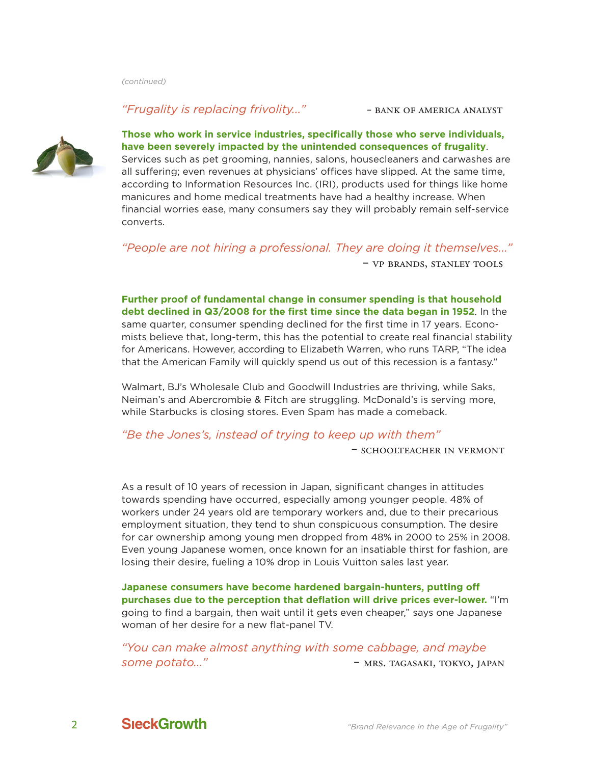## *"Frugality is replacing frivolity..."* – bank of america analyst



# **Those who work in service industries, specifically those who serve individuals, have been severely impacted by the unintended consequences of frugality**.

Services such as pet grooming, nannies, salons, housecleaners and carwashes are all suffering; even revenues at physicians' offices have slipped. At the same time, according to Information Resources Inc. (IRI), products used for things like home manicures and home medical treatments have had a healthy increase. When financial worries ease, many consumers say they will probably remain self-service converts.

*"People are not hiring a professional. They are doing it themselves..."* – vp brands, stanley tools

**Further proof of fundamental change in consumer spending is that household debt declined in Q3/2008 for the first time since the data began in 1952**. In the same quarter, consumer spending declined for the first time in 17 years. Economists believe that, long-term, this has the potential to create real financial stability for Americans. However, according to Elizabeth Warren, who runs TARP, "The idea that the American Family will quickly spend us out of this recession is a fantasy."

Walmart, BJ's Wholesale Club and Goodwill Industries are thriving, while Saks, Neiman's and Abercrombie & Fitch are struggling. McDonald's is serving more, while Starbucks is closing stores. Even Spam has made a comeback.

## *"Be the Jones's, instead of trying to keep up with them"*

– schoolteacher in vermont

As a result of 10 years of recession in Japan, significant changes in attitudes towards spending have occurred, especially among younger people. 48% of workers under 24 years old are temporary workers and, due to their precarious employment situation, they tend to shun conspicuous consumption. The desire for car ownership among young men dropped from 48% in 2000 to 25% in 2008. Even young Japanese women, once known for an insatiable thirst for fashion, are losing their desire, fueling a 10% drop in Louis Vuitton sales last year.

**Japanese consumers have become hardened bargain-hunters, putting off purchases due to the perception that deflation will drive prices ever-lower.** "I'm going to find a bargain, then wait until it gets even cheaper," says one Japanese woman of her desire for a new flat-panel TV.

*"You can make almost anything with some cabbage, and maybe some potato..."* – mrs. tagasaki, tokyo, japan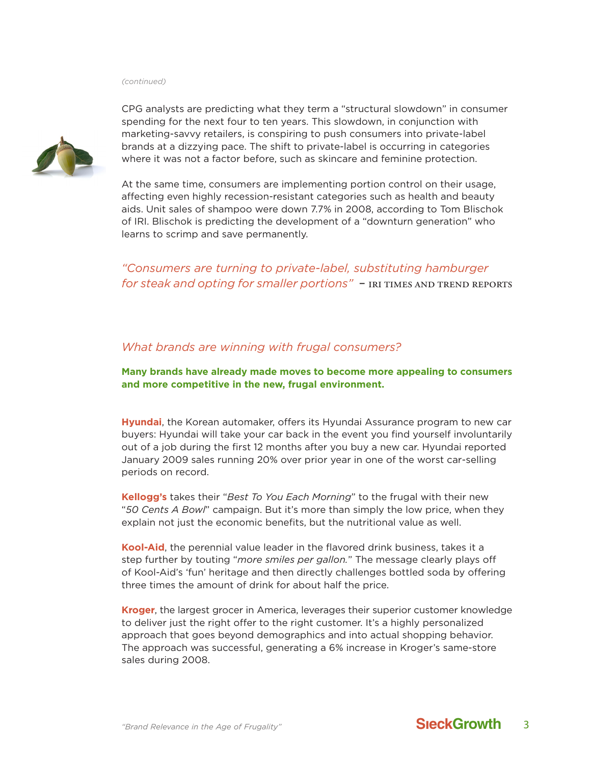

CPG analysts are predicting what they term a "structural slowdown" in consumer spending for the next four to ten years. This slowdown, in conjunction with marketing-savvy retailers, is conspiring to push consumers into private-label brands at a dizzying pace. The shift to private-label is occurring in categories where it was not a factor before, such as skincare and feminine protection.

At the same time, consumers are implementing portion control on their usage, affecting even highly recession-resistant categories such as health and beauty aids. Unit sales of shampoo were down 7.7% in 2008, according to Tom Blischok of IRI. Blischok is predicting the development of a "downturn generation" who learns to scrimp and save permanently.

*"Consumers are turning to private-label, substituting hamburger for steak and opting for smaller portions*" – IRI TIMES AND TREND REPORTS

### *What brands are winning with frugal consumers?*

**Many brands have already made moves to become more appealing to consumers and more competitive in the new, frugal environment.**

**Hyundai**, the Korean automaker, offers its Hyundai Assurance program to new car buyers: Hyundai will take your car back in the event you find yourself involuntarily out of a job during the first 12 months after you buy a new car. Hyundai reported January 2009 sales running 20% over prior year in one of the worst car-selling periods on record.

**Kellogg's** takes their "*Best To You Each Morning*" to the frugal with their new "*50 Cents A Bowl*" campaign. But it's more than simply the low price, when they explain not just the economic benefits, but the nutritional value as well.

**Kool-Aid**, the perennial value leader in the flavored drink business, takes it a step further by touting "*more smiles per gallon.*" The message clearly plays off of Kool-Aid's 'fun' heritage and then directly challenges bottled soda by offering three times the amount of drink for about half the price.

**Kroger**, the largest grocer in America, leverages their superior customer knowledge to deliver just the right offer to the right customer. It's a highly personalized approach that goes beyond demographics and into actual shopping behavior. The approach was successful, generating a 6% increase in Kroger's same-store sales during 2008.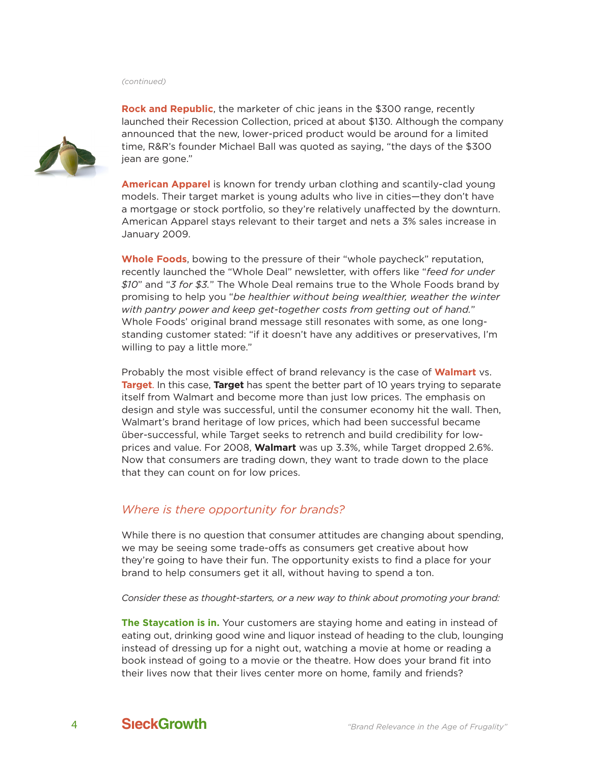

**Rock and Republic**, the marketer of chic jeans in the \$300 range, recently launched their Recession Collection, priced at about \$130. Although the company announced that the new, lower-priced product would be around for a limited time, R&R's founder Michael Ball was quoted as saying, "the days of the \$300 jean are gone."

**American Apparel** is known for trendy urban clothing and scantily-clad young models. Their target market is young adults who live in cities—they don't have a mortgage or stock portfolio, so they're relatively unaffected by the downturn. American Apparel stays relevant to their target and nets a 3% sales increase in January 2009.

**Whole Foods**, bowing to the pressure of their "whole paycheck" reputation, recently launched the "Whole Deal" newsletter, with offers like "*feed for under \$10*" and "*3 for \$3.*" The Whole Deal remains true to the Whole Foods brand by promising to help you "*be healthier without being wealthier, weather the winter with pantry power and keep get-together costs from getting out of hand.*" Whole Foods' original brand message still resonates with some, as one longstanding customer stated: "if it doesn't have any additives or preservatives, I'm willing to pay a little more."

Probably the most visible effect of brand relevancy is the case of **Walmart** vs. **Target**. In this case, **Target** has spent the better part of 10 years trying to separate itself from Walmart and become more than just low prices. The emphasis on design and style was successful, until the consumer economy hit the wall. Then, Walmart's brand heritage of low prices, which had been successful became über-successful, while Target seeks to retrench and build credibility for lowprices and value. For 2008, **Walmart** was up 3.3%, while Target dropped 2.6%. Now that consumers are trading down, they want to trade down to the place that they can count on for low prices.

## *Where is there opportunity for brands?*

While there is no question that consumer attitudes are changing about spending, we may be seeing some trade-offs as consumers get creative about how they're going to have their fun. The opportunity exists to find a place for your brand to help consumers get it all, without having to spend a ton.

*Consider these as thought-starters, or a new way to think about promoting your brand:*

**The Staycation is in.** Your customers are staying home and eating in instead of eating out, drinking good wine and liquor instead of heading to the club, lounging instead of dressing up for a night out, watching a movie at home or reading a book instead of going to a movie or the theatre. How does your brand fit into their lives now that their lives center more on home, family and friends?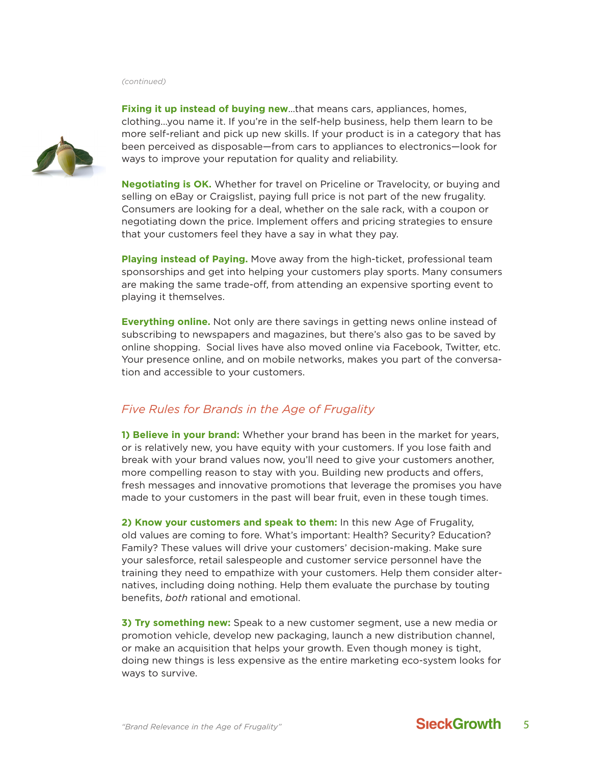

**Fixing it up instead of buying new**…that means cars, appliances, homes, clothing...you name it. If you're in the self-help business, help them learn to be more self-reliant and pick up new skills. If your product is in a category that has been perceived as disposable—from cars to appliances to electronics—look for ways to improve your reputation for quality and reliability.

**Negotiating is OK.** Whether for travel on Priceline or Travelocity, or buying and selling on eBay or Craigslist, paying full price is not part of the new frugality. Consumers are looking for a deal, whether on the sale rack, with a coupon or negotiating down the price. Implement offers and pricing strategies to ensure that your customers feel they have a say in what they pay.

**Playing instead of Paying.** Move away from the high-ticket, professional team sponsorships and get into helping your customers play sports. Many consumers are making the same trade-off, from attending an expensive sporting event to playing it themselves.

**Everything online.** Not only are there savings in getting news online instead of subscribing to newspapers and magazines, but there's also gas to be saved by online shopping. Social lives have also moved online via Facebook, Twitter, etc. Your presence online, and on mobile networks, makes you part of the conversation and accessible to your customers.

# *Five Rules for Brands in the Age of Frugality*

**1) Believe in your brand:** Whether your brand has been in the market for years, or is relatively new, you have equity with your customers. If you lose faith and break with your brand values now, you'll need to give your customers another, more compelling reason to stay with you. Building new products and offers, fresh messages and innovative promotions that leverage the promises you have made to your customers in the past will bear fruit, even in these tough times.

**2) Know your customers and speak to them:** In this new Age of Frugality, old values are coming to fore. What's important: Health? Security? Education? Family? These values will drive your customers' decision-making. Make sure your salesforce, retail salespeople and customer service personnel have the training they need to empathize with your customers. Help them consider alternatives, including doing nothing. Help them evaluate the purchase by touting benefits, *both* rational and emotional.

**3) Try something new:** Speak to a new customer segment, use a new media or promotion vehicle, develop new packaging, launch a new distribution channel, or make an acquisition that helps your growth. Even though money is tight, doing new things is less expensive as the entire marketing eco-system looks for ways to survive.